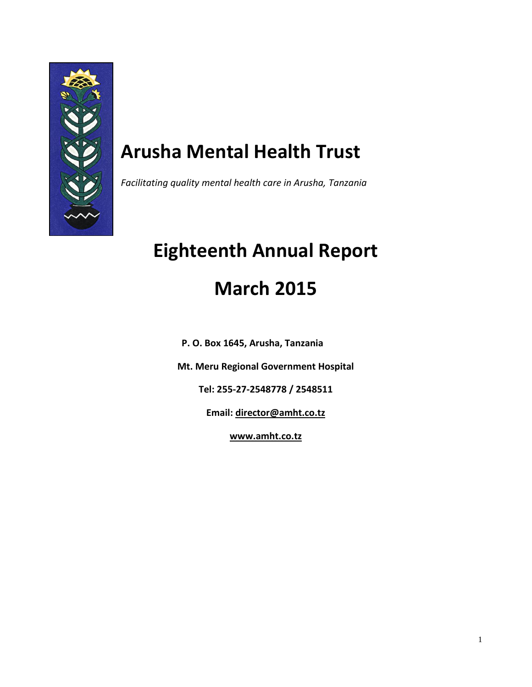

## **Arusha Mental Health Trust**

*Facilitating quality mental health care in Arusha, Tanzania*

# **Eighteenth Annual Report March 2015**

**P. O. Box 1645, Arusha, Tanzania**

**Mt. Meru Regional Government Hospital**

**Tel: 255-27-2548778 / 2548511**

**Email: [director@amht.co.tz](mailto:director@amht.co.tz)**

**[www.amht.co.tz](http://www.amht.co.tz/)**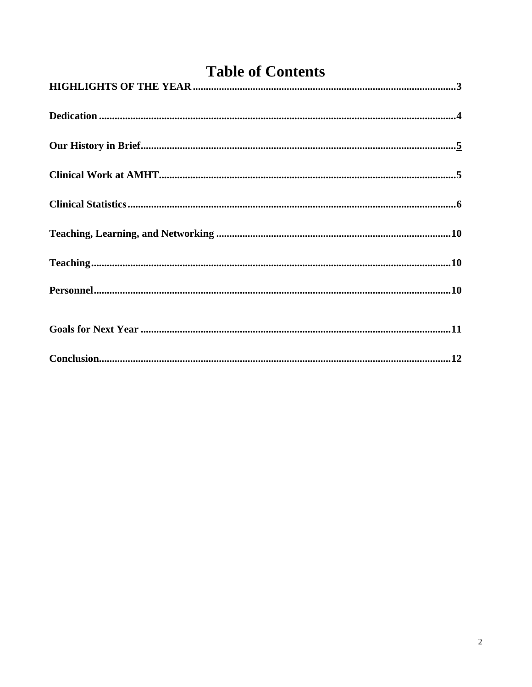<span id="page-1-0"></span>

| <b>Table of Contents</b>                                                                                                                                                                                                                                                                                                                                                                                        |  |  |  |
|-----------------------------------------------------------------------------------------------------------------------------------------------------------------------------------------------------------------------------------------------------------------------------------------------------------------------------------------------------------------------------------------------------------------|--|--|--|
|                                                                                                                                                                                                                                                                                                                                                                                                                 |  |  |  |
|                                                                                                                                                                                                                                                                                                                                                                                                                 |  |  |  |
|                                                                                                                                                                                                                                                                                                                                                                                                                 |  |  |  |
|                                                                                                                                                                                                                                                                                                                                                                                                                 |  |  |  |
|                                                                                                                                                                                                                                                                                                                                                                                                                 |  |  |  |
|                                                                                                                                                                                                                                                                                                                                                                                                                 |  |  |  |
|                                                                                                                                                                                                                                                                                                                                                                                                                 |  |  |  |
|                                                                                                                                                                                                                                                                                                                                                                                                                 |  |  |  |
|                                                                                                                                                                                                                                                                                                                                                                                                                 |  |  |  |
| $Conclusion  \  \  \, \ldots \  \  \, \ldots \  \  \, \ldots \  \  \, \ldots \  \  \, \ldots \  \  \, \ldots \  \  \, \ldots \  \  \, \ldots \  \  \, \ldots \  \  \, \ldots \  \  \, \ldots \  \  \, \ldots \  \  \, \ldots \  \  \, \ldots \  \  \, \ldots \  \  \, \ldots \  \  \, \ldots \  \  \, \ldots \  \  \, \ldots \  \  \, \ldots \  \  \, \ldots \  \  \, \ldots \  \  \, \ldots \  \  \, \ldots \$ |  |  |  |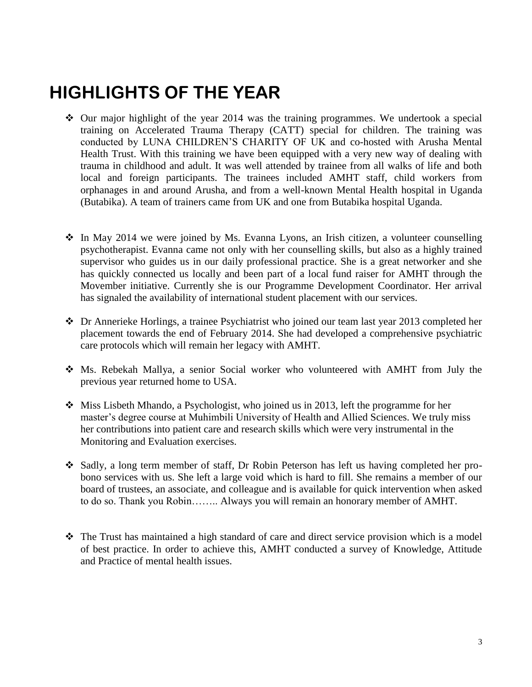## **HIGHLIGHTS OF THE YEAR**

- $\div$  Our major highlight of the year 2014 was the training programmes. We undertook a special training on Accelerated Trauma Therapy (CATT) special for children. The training was conducted by LUNA CHILDREN'S CHARITY OF UK and co-hosted with Arusha Mental Health Trust. With this training we have been equipped with a very new way of dealing with trauma in childhood and adult. It was well attended by trainee from all walks of life and both local and foreign participants. The trainees included AMHT staff, child workers from orphanages in and around Arusha, and from a well-known Mental Health hospital in Uganda (Butabika). A team of trainers came from UK and one from Butabika hospital Uganda.
- $\div$  In May 2014 we were joined by Ms. Evanna Lyons, an Irish citizen, a volunteer counselling psychotherapist. Evanna came not only with her counselling skills, but also as a highly trained supervisor who guides us in our daily professional practice. She is a great networker and she has quickly connected us locally and been part of a local fund raiser for AMHT through the Movember initiative. Currently she is our Programme Development Coordinator. Her arrival has signaled the availability of international student placement with our services.
- Dr Annerieke Horlings, a trainee Psychiatrist who joined our team last year 2013 completed her placement towards the end of February 2014. She had developed a comprehensive psychiatric care protocols which will remain her legacy with AMHT.
- Ms. Rebekah Mallya, a senior Social worker who volunteered with AMHT from July the previous year returned home to USA.
- $\cdot$  Miss Lisbeth Mhando, a Psychologist, who joined us in 2013, left the programme for her master's degree course at Muhimbili University of Health and Allied Sciences. We truly miss her contributions into patient care and research skills which were very instrumental in the Monitoring and Evaluation exercises.
- Sadly, a long term member of staff, Dr Robin Peterson has left us having completed her probono services with us. She left a large void which is hard to fill. She remains a member of our board of trustees, an associate, and colleague and is available for quick intervention when asked to do so. Thank you Robin…….. Always you will remain an honorary member of AMHT.
- $\hat{\mathbf{\cdot}}$  The Trust has maintained a high standard of care and direct service provision which is a model of best practice. In order to achieve this, AMHT conducted a survey of Knowledge, Attitude and Practice of mental health issues.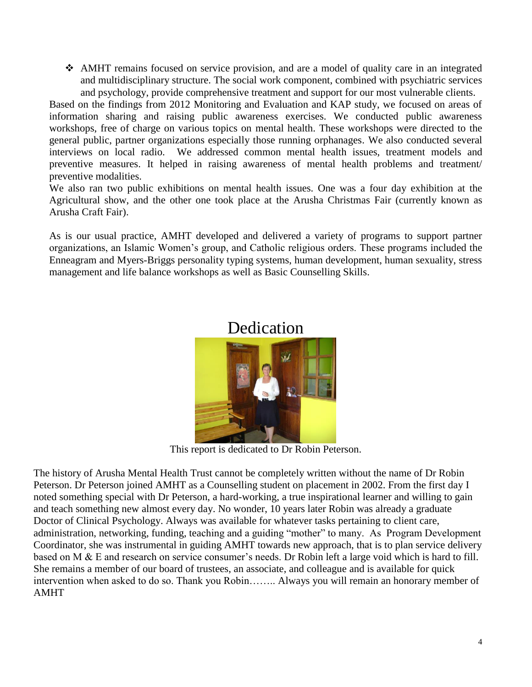AMHT remains focused on service provision, and are a model of quality care in an integrated and multidisciplinary structure. The social work component, combined with psychiatric services and psychology, provide comprehensive treatment and support for our most vulnerable clients.

Based on the findings from 2012 Monitoring and Evaluation and KAP study, we focused on areas of information sharing and raising public awareness exercises. We conducted public awareness workshops, free of charge on various topics on mental health. These workshops were directed to the general public, partner organizations especially those running orphanages. We also conducted several interviews on local radio. We addressed common mental health issues, treatment models and preventive measures. It helped in raising awareness of mental health problems and treatment/ preventive modalities.

We also ran two public exhibitions on mental health issues. One was a four day exhibition at the Agricultural show, and the other one took place at the Arusha Christmas Fair (currently known as Arusha Craft Fair).

<span id="page-3-0"></span>As is our usual practice, AMHT developed and delivered a variety of programs to support partner organizations, an Islamic Women's group, and Catholic religious orders. These programs included the Enneagram and Myers-Briggs personality typing systems, human development, human sexuality, stress management and life balance workshops as well as Basic Counselling Skills.



### Dedication

This report is dedicated to Dr Robin Peterson.

The history of Arusha Mental Health Trust cannot be completely written without the name of Dr Robin Peterson. Dr Peterson joined AMHT as a Counselling student on placement in 2002. From the first day I noted something special with Dr Peterson, a hard-working, a true inspirational learner and willing to gain and teach something new almost every day. No wonder, 10 years later Robin was already a graduate Doctor of Clinical Psychology. Always was available for whatever tasks pertaining to client care, administration, networking, funding, teaching and a guiding "mother" to many. As Program Development Coordinator, she was instrumental in guiding AMHT towards new approach, that is to plan service delivery based on M & E and research on service consumer's needs. Dr Robin left a large void which is hard to fill. She remains a member of our board of trustees, an associate, and colleague and is available for quick intervention when asked to do so. Thank you Robin…….. Always you will remain an honorary member of AMHT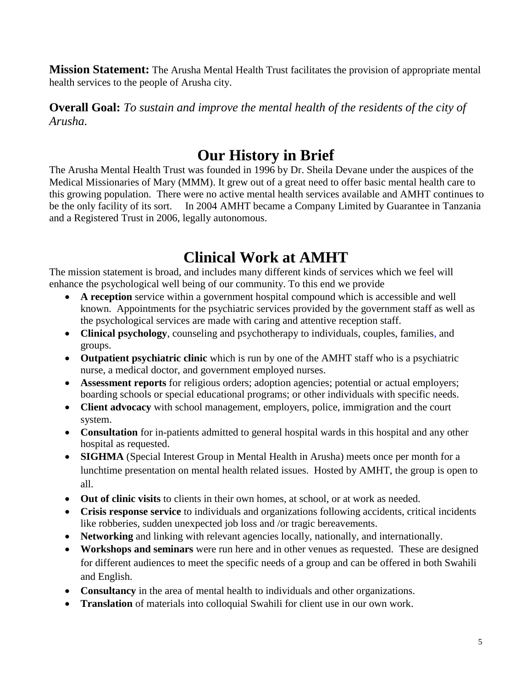**Mission Statement:** The Arusha Mental Health Trust facilitates the provision of appropriate mental health services to the people of Arusha city.

**Overall Goal:** *To sustain and improve the mental health of the residents of the city of Arusha.* 

## **Our History in Brief**

The Arusha Mental Health Trust was founded in 1996 by Dr. Sheila Devane under the auspices of the Medical Missionaries of Mary (MMM). It grew out of a great need to offer basic mental health care to this growing population. There were no active mental health services available and AMHT continues to be the only facility of its sort. In 2004 AMHT became a Company Limited by Guarantee in Tanzania and a Registered Trust in 2006, legally autonomous.

## **Clinical Work at AMHT**

The mission statement is broad, and includes many different kinds of services which we feel will enhance the psychological well being of our community. To this end we provide

- **A reception** service within a government hospital compound which is accessible and well known. Appointments for the psychiatric services provided by the government staff as well as the psychological services are made with caring and attentive reception staff.
- **Clinical psychology**, counseling and psychotherapy to individuals, couples, families, and groups.
- **Outpatient psychiatric clinic** which is run by one of the AMHT staff who is a psychiatric nurse, a medical doctor, and government employed nurses.
- **Assessment reports** for religious orders; adoption agencies; potential or actual employers; boarding schools or special educational programs; or other individuals with specific needs.
- **Client advocacy** with school management, employers, police, immigration and the court system.
- **Consultation** for in-patients admitted to general hospital wards in this hospital and any other hospital as requested.
- **SIGHMA** (Special Interest Group in Mental Health in Arusha) meets once per month for a lunchtime presentation on mental health related issues. Hosted by AMHT, the group is open to all.
- **Out of clinic visits** to clients in their own homes, at school, or at work as needed.
- **Crisis response service** to individuals and organizations following accidents, critical incidents like robberies, sudden unexpected job loss and /or tragic bereavements.
- **Networking** and linking with relevant agencies locally, nationally, and internationally.
- **Workshops and seminars** were run here and in other venues as requested. These are designed for different audiences to meet the specific needs of a group and can be offered in both Swahili and English.
- **Consultancy** in the area of mental health to individuals and other organizations.
- **Translation** of materials into colloquial Swahili for client use in our own work.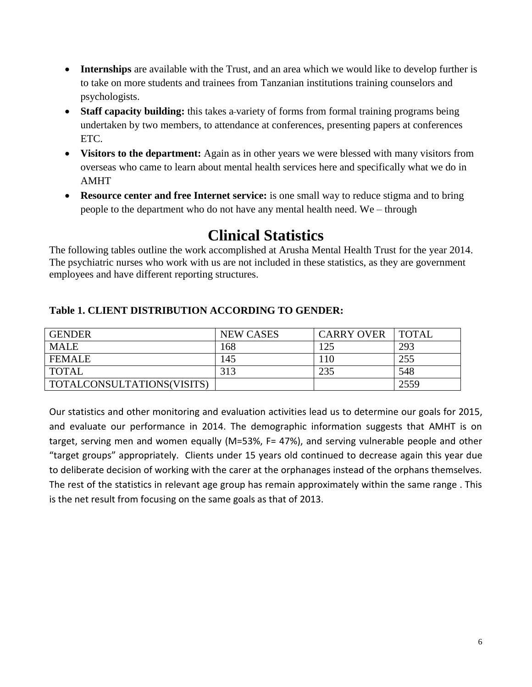- **Internships** are available with the Trust, and an area which we would like to develop further is to take on more students and trainees from Tanzanian institutions training counselors and psychologists.
- **Staff capacity building:** this takes a-variety of forms from formal training programs being undertaken by two members, to attendance at conferences, presenting papers at conferences ETC.
- **Visitors to the department:** Again as in other years we were blessed with many visitors from overseas who came to learn about mental health services here and specifically what we do in AMHT
- **Resource center and free Internet service:** is one small way to reduce stigma and to bring people to the department who do not have any mental health need. We – through

## **Clinical Statistics**

The following tables outline the work accomplished at Arusha Mental Health Trust for the year 2014. The psychiatric nurses who work with us are not included in these statistics, as they are government employees and have different reporting structures.

| <b>GENDER</b>              | <b>NEW CASES</b> | <b>CARRY OVER</b> | <b>TOTAL</b> |
|----------------------------|------------------|-------------------|--------------|
| MALE                       | 168              | 125               | 293          |
| <b>FEMALE</b>              | 145              | 10                | 255          |
| <b>TOTAL</b>               | 313              | 235               | 548          |
| TOTALCONSULTATIONS(VISITS) |                  |                   | 2559         |

#### **Table 1. CLIENT DISTRIBUTION ACCORDING TO GENDER:**

Our statistics and other monitoring and evaluation activities lead us to determine our goals for 2015, and evaluate our performance in 2014. The demographic information suggests that AMHT is on target, serving men and women equally (M=53%, F= 47%), and serving vulnerable people and other "target groups" appropriately. Clients under 15 years old continued to decrease again this year due to deliberate decision of working with the carer at the orphanages instead of the orphans themselves. The rest of the statistics in relevant age group has remain approximately within the same range . This is the net result from focusing on the same goals as that of 2013.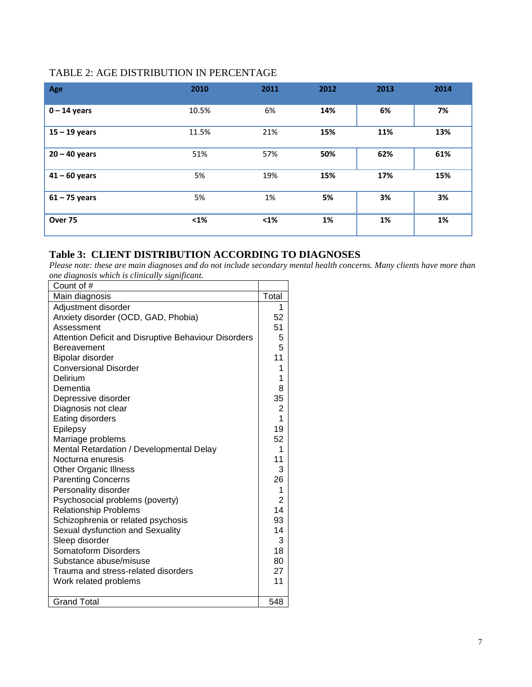#### TABLE 2: AGE DISTRIBUTION IN PERCENTAGE

| Age             | 2010  | 2011 | 2012 | 2013 | 2014 |
|-----------------|-------|------|------|------|------|
| $0 - 14$ years  | 10.5% | 6%   | 14%  | 6%   | 7%   |
| $15 - 19$ years | 11.5% | 21%  | 15%  | 11%  | 13%  |
| $20 - 40$ years | 51%   | 57%  | 50%  | 62%  | 61%  |
| $41 - 60$ years | 5%    | 19%  | 15%  | 17%  | 15%  |
| $61 - 75$ years | 5%    | 1%   | 5%   | 3%   | 3%   |
| Over 75         | $1%$  | $1%$ | 1%   | 1%   | 1%   |

#### **Table 3: CLIENT DISTRIBUTION ACCORDING TO DIAGNOSES**

*Please note: these are main diagnoses and do not include secondary mental health concerns. Many clients have more than one diagnosis which is clinically significant.*

| Count of #                                                  |                |
|-------------------------------------------------------------|----------------|
| Main diagnosis                                              | Total          |
| Adjustment disorder                                         | 1              |
| Anxiety disorder (OCD, GAD, Phobia)                         | 52             |
| Assessment                                                  | 51             |
| <b>Attention Deficit and Disruptive Behaviour Disorders</b> | 5              |
| Bereavement                                                 | 5              |
| Bipolar disorder                                            | 11             |
| <b>Conversional Disorder</b>                                | 1              |
| Delirium                                                    | 1              |
| Dementia                                                    | 8              |
| Depressive disorder                                         | 35             |
| Diagnosis not clear                                         | $\overline{2}$ |
| Eating disorders                                            | $\mathbf{1}$   |
| Epilepsy                                                    | 19             |
| Marriage problems                                           | 52             |
| Mental Retardation / Developmental Delay                    | 1              |
| Nocturna enuresis                                           | 11             |
| <b>Other Organic Illness</b>                                | 3              |
| <b>Parenting Concerns</b>                                   | 26             |
| Personality disorder                                        | 1              |
| Psychosocial problems (poverty)                             | $\overline{2}$ |
| <b>Relationship Problems</b>                                | 14             |
| Schizophrenia or related psychosis                          | 93             |
| Sexual dysfunction and Sexuality                            | 14             |
| Sleep disorder                                              | 3              |
| Somatoform Disorders                                        | 18             |
| Substance abuse/misuse                                      | 80             |
| Trauma and stress-related disorders                         | 27             |
| Work related problems                                       | 11             |
|                                                             |                |
| <b>Grand Total</b>                                          | 548            |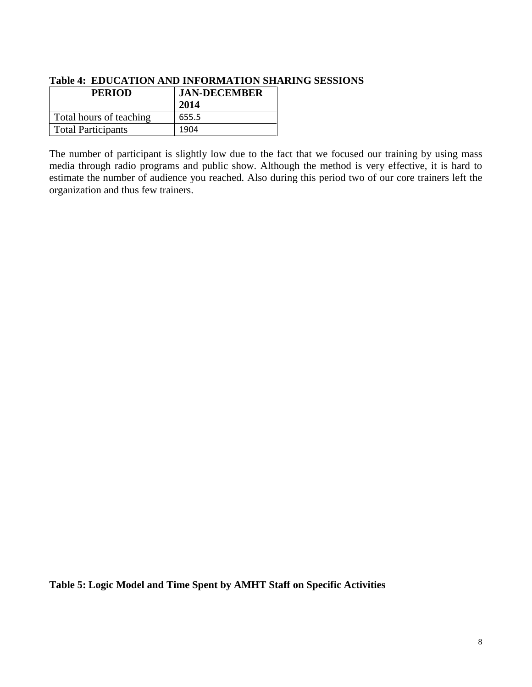| Table Te Elbert March (Martin Standard Campus) |                     |  |  |  |
|------------------------------------------------|---------------------|--|--|--|
| <b>PERIOD</b>                                  | <b>JAN-DECEMBER</b> |  |  |  |
|                                                | 2014                |  |  |  |
| Total hours of teaching                        | 655.5               |  |  |  |
| <b>Total Participants</b>                      | 1904                |  |  |  |

#### **Table 4: EDUCATION AND INFORMATION SHARING SESSIONS**

The number of participant is slightly low due to the fact that we focused our training by using mass media through radio programs and public show. Although the method is very effective, it is hard to estimate the number of audience you reached. Also during this period two of our core trainers left the organization and thus few trainers.

**Table 5: Logic Model and Time Spent by AMHT Staff on Specific Activities**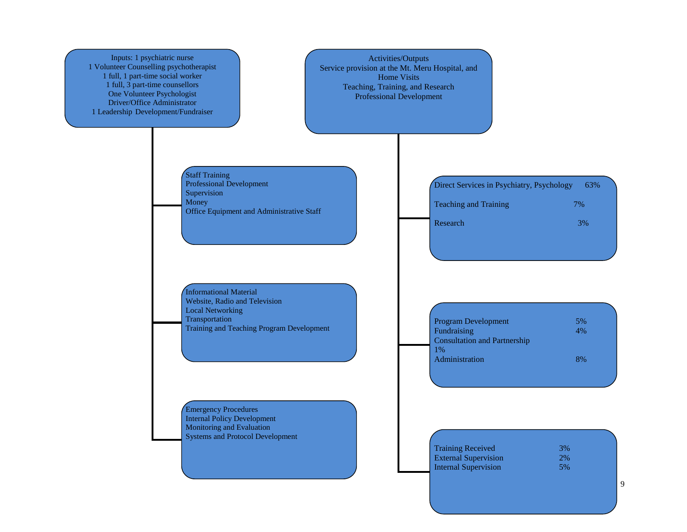9 Inputs: 1 psychiatric nurse 1 Volunteer Counselling psychotherapist 1 full, 1 part-time social worker 1 full, 3 part-time counsellors One Volunteer Psychologist Driver/Office Administrator 1 Leadership Development/Fundraiser Staff Training Professional Development **Supervision** Money Office Equipment and Administrative Staff Informational Material Website, Radio and Television Local Networking **Transportation** Training and Teaching Program Development Emergency Procedures Internal Policy Development Monitoring and Evaluation Systems and Protocol Development Activities/Outputs Service provision at the Mt. Meru Hospital, and Home Visits Teaching, Training, and Research Professional Development Direct Services in Psychiatry, Psychology 63% Teaching and Training 7% 7% Research 3% 3% Program Development 5%<br>Fundraising 4% Fundraising Consultation and Partnership 1% Administration 8% Training Received 3% External Supervision 2% Internal Supervision 5%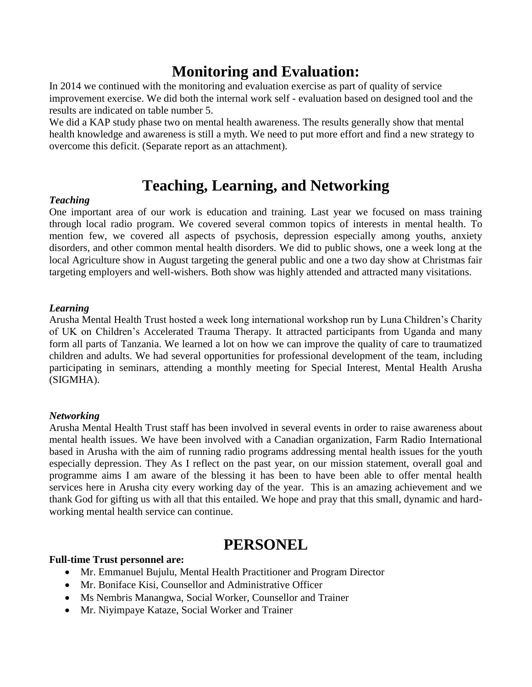## **Monitoring and Evaluation:**

In 2014 we continued with the monitoring and evaluation exercise as part of quality of service improvement exercise. We did both the internal work self - evaluation based on designed tool and the results are indicated on table number 5.

We did a KAP study phase two on mental health awareness. The results generally show that mental health knowledge and awareness is still a myth. We need to put more effort and find a new strategy to overcome this deficit. (Separate report as an attachment).

## **Teaching, Learning, and Networking**

#### *Teaching*

One important area of our work is education and training. Last year we focused on mass training through local radio program. We covered several common topics of interests in mental health. To mention few, we covered all aspects of psychosis, depression especially among youths, anxiety disorders, and other common mental health disorders. We did to public shows, one a week long at the local Agriculture show in August targeting the general public and one a two day show at Christmas fair targeting employers and well-wishers. Both show was highly attended and attracted many visitations.

#### *Learning*

Arusha Mental Health Trust hosted a week long international workshop run by Luna Children's Charity of UK on Children's Accelerated Trauma Therapy. It attracted participants from Uganda and many form all parts of Tanzania. We learned a lot on how we can improve the quality of care to traumatized children and adults. We had several opportunities for professional development of the team, including participating in seminars, attending a monthly meeting for Special Interest, Mental Health Arusha (SIGMHA).

#### *Networking*

Arusha Mental Health Trust staff has been involved in several events in order to raise awareness about mental health issues. We have been involved with a Canadian organization, Farm Radio International based in Arusha with the aim of running radio programs addressing mental health issues for the youth especially depression. They As I reflect on the past year, on our mission statement, overall goal and programme aims I am aware of the blessing it has been to have been able to offer mental health services here in Arusha city every working day of the year. This is an amazing achievement and we thank God for gifting us with all that this entailed. We hope and pray that this small, dynamic and hardworking mental health service can continue.

### **PERSONEL**

#### **Full-time Trust personnel are:**

- Mr. Emmanuel Bujulu, Mental Health Practitioner and Program Director
- Mr. Boniface Kisi, Counsellor and Administrative Officer
- Ms Nembris Manangwa, Social Worker, Counsellor and Trainer
- Mr. Niyimpaye Kataze, Social Worker and Trainer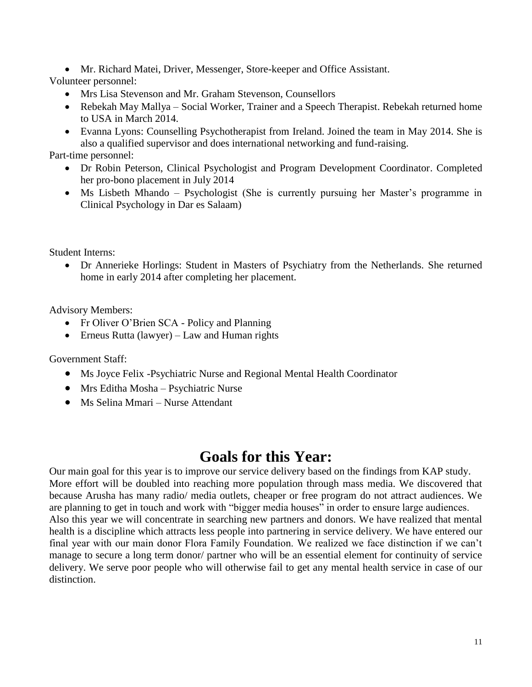Mr. Richard Matei, Driver, Messenger, Store-keeper and Office Assistant.

Volunteer personnel:

- Mrs Lisa Stevenson and Mr. Graham Stevenson, Counsellors
- Rebekah May Mallya Social Worker, Trainer and a Speech Therapist. Rebekah returned home to USA in March 2014.
- Evanna Lyons: Counselling Psychotherapist from Ireland. Joined the team in May 2014. She is also a qualified supervisor and does international networking and fund-raising.

Part-time personnel:

- Dr Robin Peterson, Clinical Psychologist and Program Development Coordinator. Completed her pro-bono placement in July 2014
- Ms Lisbeth Mhando Psychologist (She is currently pursuing her Master's programme in Clinical Psychology in Dar es Salaam)

Student Interns:

 Dr Annerieke Horlings: Student in Masters of Psychiatry from the Netherlands. She returned home in early 2014 after completing her placement.

Advisory Members:

- Fr Oliver O'Brien SCA Policy and Planning
- $\bullet$  Erneus Rutta (lawyer) Law and Human rights

Government Staff:

- Ms Joyce Felix -Psychiatric Nurse and Regional Mental Health Coordinator
- Mrs Editha Mosha Psychiatric Nurse
- Ms Selina Mmari Nurse Attendant

## **Goals for this Year:**

Our main goal for this year is to improve our service delivery based on the findings from KAP study. More effort will be doubled into reaching more population through mass media. We discovered that because Arusha has many radio/ media outlets, cheaper or free program do not attract audiences. We are planning to get in touch and work with "bigger media houses" in order to ensure large audiences. Also this year we will concentrate in searching new partners and donors. We have realized that mental health is a discipline which attracts less people into partnering in service delivery. We have entered our final year with our main donor Flora Family Foundation. We realized we face distinction if we can't manage to secure a long term donor/ partner who will be an essential element for continuity of service delivery. We serve poor people who will otherwise fail to get any mental health service in case of our distinction.